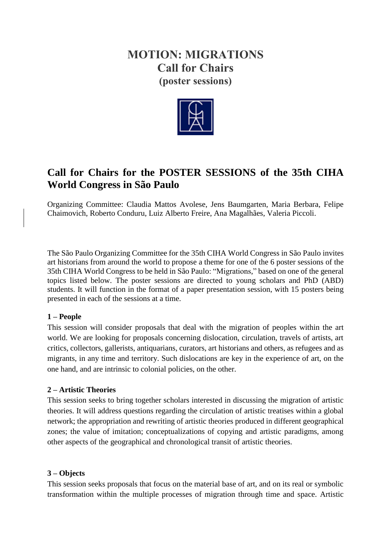# **MOTION: MIGRATIONS Call for Chairs (poster sessions)**



## **Call for Chairs for the POSTER SESSIONS of the 35th CIHA World Congress in São Paulo**

Organizing Committee: Claudia Mattos Avolese, Jens Baumgarten, Maria Berbara, Felipe Chaimovich, Roberto Conduru, Luiz Alberto Freire, Ana Magalhães, Valeria Piccoli.

The São Paulo Organizing Committee for the 35th CIHA World Congress in São Paulo invites art historians from around the world to propose a theme for one of the 6 poster sessions of the 35th CIHA World Congress to be held in São Paulo: "Migrations," based on one of the general topics listed below. The poster sessions are directed to young scholars and PhD (ABD) students. It will function in the format of a paper presentation session, with 15 posters being presented in each of the sessions at a time.

## **1 – People**

This session will consider proposals that deal with the migration of peoples within the art world. We are looking for proposals concerning dislocation, circulation, travels of artists, art critics, collectors, gallerists, antiquarians, curators, art historians and others, as refugees and as migrants, in any time and territory. Such dislocations are key in the experience of art, on the one hand, and are intrinsic to colonial policies, on the other.

## **2 – Artistic Theories**

This session seeks to bring together scholars interested in discussing the migration of artistic theories. It will address questions regarding the circulation of artistic treatises within a global network; the appropriation and rewriting of artistic theories produced in different geographical zones; the value of imitation; conceptualizations of copying and artistic paradigms, among other aspects of the geographical and chronological transit of artistic theories.

## **3 – Objects**

This session seeks proposals that focus on the material base of art, and on its real or symbolic transformation within the multiple processes of migration through time and space. Artistic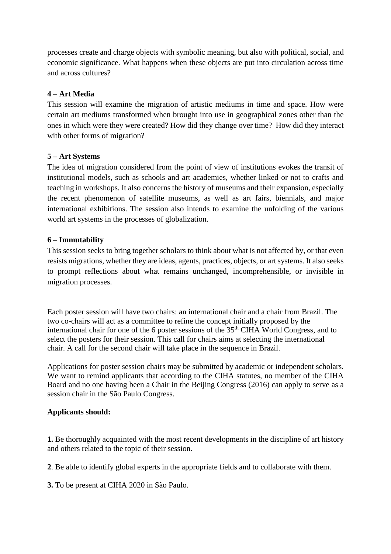processes create and charge objects with symbolic meaning, but also with political, social, and economic significance. What happens when these objects are put into circulation across time and across cultures?

## **4 – Art Media**

This session will examine the migration of artistic mediums in time and space. How were certain art mediums transformed when brought into use in geographical zones other than the ones in which were they were created? How did they change over time? How did they interact with other forms of migration?

## **5 – Art Systems**

The idea of migration considered from the point of view of institutions evokes the transit of institutional models, such as schools and art academies, whether linked or not to crafts and teaching in workshops. It also concerns the history of museums and their expansion, especially the recent phenomenon of satellite museums, as well as art fairs, biennials, and major international exhibitions. The session also intends to examine the unfolding of the various world art systems in the processes of globalization.

#### **6 – Immutability**

This session seeks to bring together scholars to think about what is not affected by, or that even resists migrations, whether they are ideas, agents, practices, objects, or art systems. It also seeks to prompt reflections about what remains unchanged, incomprehensible, or invisible in migration processes.

Each poster session will have two chairs: an international chair and a chair from Brazil. The two co-chairs will act as a committee to refine the concept initially proposed by the international chair for one of the 6 poster sessions of the  $35<sup>th</sup>$  CIHA World Congress, and to select the posters for their session. This call for chairs aims at selecting the international chair. A call for the second chair will take place in the sequence in Brazil.

Applications for poster session chairs may be submitted by academic or independent scholars. We want to remind applicants that according to the CIHA statutes, no member of the CIHA Board and no one having been a Chair in the Beijing Congress (2016) can apply to serve as a session chair in the São Paulo Congress.

## **Applicants should:**

**1.** Be thoroughly acquainted with the most recent developments in the discipline of art history and others related to the topic of their session.

**2**. Be able to identify global experts in the appropriate fields and to collaborate with them.

**3.** To be present at CIHA 2020 in São Paulo.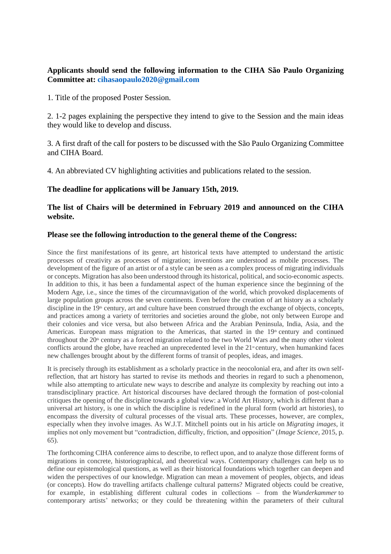#### **Applicants should send the following information to the CIHA São Paulo Organizing Committee at: cihasaopaulo2020@gmail.com**

1. Title of the proposed Poster Session.

2. 1-2 pages explaining the perspective they intend to give to the Session and the main ideas they would like to develop and discuss.

3. A first draft of the call for posters to be discussed with the São Paulo Organizing Committee and CIHA Board.

4. An abbreviated CV highlighting activities and publications related to the session.

#### **The deadline for applications will be January 15th, 2019.**

#### **The list of Chairs will be determined in February 2019 and announced on the CIHA website.**

#### **Please see the following introduction to the general theme of the Congress:**

Since the first manifestations of its genre, art historical texts have attempted to understand the artistic processes of creativity as processes of migration; inventions are understood as mobile processes. The development of the figure of an artist or of a style can be seen as a complex process of migrating individuals or concepts. Migration has also been understood through its historical, political, and socio-economic aspects. In addition to this, it has been a fundamental aspect of the human experience since the beginning of the Modern Age, i.e., since the times of the circumnavigation of the world, which provoked displacements of large population groups across the seven continents. Even before the creation of art history as a scholarly discipline in the  $19<sup>th</sup>$  century, art and culture have been construed through the exchange of objects, concepts, and practices among a variety of territories and societies around the globe, not only between Europe and their colonies and vice versa, but also between Africa and the Arabian Peninsula, India, Asia, and the Americas. European mass migration to the Americas, that started in the  $19<sup>th</sup>$  century and continued throughout the 20<sup>th</sup> century as a forced migration related to the two World Wars and the many other violent conflicts around the globe, have reached an unprecedented level in the 21<sup>st</sup> century, when humankind faces new challenges brought about by the different forms of transit of peoples, ideas, and images.

It is precisely through its establishment as a scholarly practice in the neocolonial era, and after its own selfreflection, that art history has started to revise its methods and theories in regard to such a phenomenon, while also attempting to articulate new ways to describe and analyze its complexity by reaching out into a transdisciplinary practice. Art historical discourses have declared through the formation of post-colonial critiques the opening of the discipline towards a global view: a World Art History, which is different than a universal art history, is one in which the discipline is redefined in the plural form (world art histories), to encompass the diversity of cultural processes of the visual arts. These processes, however, are complex, especially when they involve images. As W.J.T. Mitchell points out in his article on *Migrating images*, it implies not only movement but "contradiction, difficulty, friction, and opposition" (*Image Science*, 2015, p. 65).

The forthcoming CIHA conference aims to describe, to reflect upon, and to analyze those different forms of migrations in concrete, historiographical, and theoretical ways. Contemporary challenges can help us to define our epistemological questions, as well as their historical foundations which together can deepen and widen the perspectives of our knowledge. Migration can mean a movement of peoples, objects, and ideas (or concepts). How do travelling artifacts challenge cultural patterns? Migrated objects could be creative, for example, in establishing different cultural codes in collections – from the *Wunderkammer* to contemporary artists' networks; or they could be threatening within the parameters of their cultural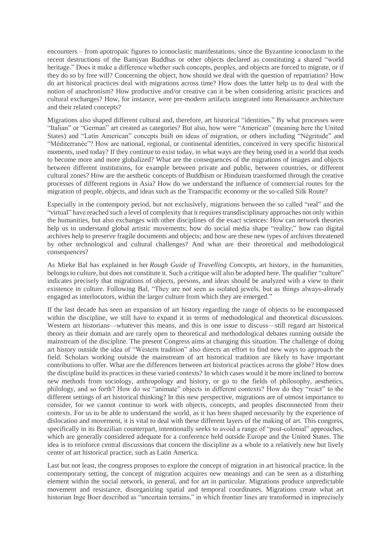encounters – from apotropaic figures to iconoclastic manifestations, since the Byzantine iconoclasm to the recent destructions of the Bamiyan Buddhas or other objects declared as constituting a shared "world heritage." Does it make a difference whether such concepts, peoples, and objects are forced to migrate, or if they do so by free will? Concerning the object, how should we deal with the question of repatriation? How do art historical practices deal with migrations across time? How does the latter help us to deal with the notion of anachronism? How productive and/or creative can it be when considering artistic practices and cultural exchanges? How, for instance, were pre-modern artifacts integrated into Renaissance architecture and their related concepts?

Migrations also shaped different cultural and, therefore, art historical "identities." By what processes were "Italian" or "German" art created as categories? But also, how were "American" (meaning here the United States) and "Latin American" concepts built on ideas of migration, or others including "Négritude" and "Méditerranée"? How are national, regional, or continental identities, conceived in very specific historical moments, used today? If they continue to exist today, in what ways are they being used in a world that tends to become more and more globalized? What are the consequences of the migrations of images and objects between different institutions, for example between private and public, between countries, or different cultural zones? How are the aesthetic concepts of Buddhism or Hinduism transformed through the creative processes of different regions in Asia? How do we understand the influence of commercial routes for the migration of people, objects, and ideas such as the Transpacific economy or the so-called Silk Route?

Especially in the contempory period, but not exclusively, migrations between the so called "real" and the "virtual" have reached such a level of complexity that it requires transdisciplinary approaches not only within the humanities, but also exchanges with other disciplines of the exact sciences: How can network theories help us to understand global artistic movements; how do social media shape "reality;" how can digital archives help to preserve fragile documents and objects; and how are these new types of archives threatened by other technological and cultural challenges? And what are their theoretical and methodological consequences?

As Mieke Bal has explained in her *Rough Guide of Travelling Concepts*, art history, in the humanities, belongs to culture, but does not constitute it. Such a critique will also be adopted here. The qualifier "culture" indicates precisely that migrations of objects, persons, and ideas should be analyzed with a view to their existence in culture. Following Bal, "They are not seen as isolated jewels, but as things always-already engaged as interlocutors, within the larger culture from which they are emerged."

If the last decade has seen an expansion of art history regarding the range of objects to be encompassed within the discipline, we still have to expand it in terms of methodological and theoretical discussions. Western art historians—whatever this means, and this is one issue to discuss—still regard art historical theory as their domain and are rarely open to theoretical and methodological debates running outside the mainstream of the discipline. The present Congress aims at changing this situation. The challenge of doing art history outside the idea of "Western tradition" also directs an effort to find new ways to approach the field. Scholars working outside the mainstream of art historical tradition are likely to have important contributions to offer. What are the differences between art historical practices across the globe? How does the discipline build its practices in these varied contexts? In which cases would it be more inclined to borrow new methods from sociology, anthropology and history, or go to the fields of philosophy, aesthetics, philology, and so forth? How do we "animate" objects in different contexts? How do they "react" to the different settings of art historical thinking? In this new perspective, migrations are of utmost importance to consider, for we cannot continue to work with objects, concepts, and peoples disconnected from their contexts. For us to be able to understand the world, as it has been shaped necessarily by the experience of dislocation and movement, it is vital to deal with these different layers of the making of art. This congress, specifically in its Brazilian counterpart, intentionally seeks to avoid a range of "post-colonial" approaches, which are generally considered adequate for a conference held outside Europe and the United States. The idea is to reinforce central discussions that concern the discipline as a whole to a relatively new but lively center of art historical practice, such as Latin America.

Last but not least, the congress proposes to explore the concept of migration in art historical practice. In the contemporary setting, the concept of migration acquires new meanings and can be seen as a disturbing element within the social network, in general, and for art in particular. Migrations produce unpredictable movement and resistance, disorganizing spatial and temporal coordinates. Migrations create what art historian Inge Boer described as "uncertain terrains," in which frontier lines are transformed in imprecisely